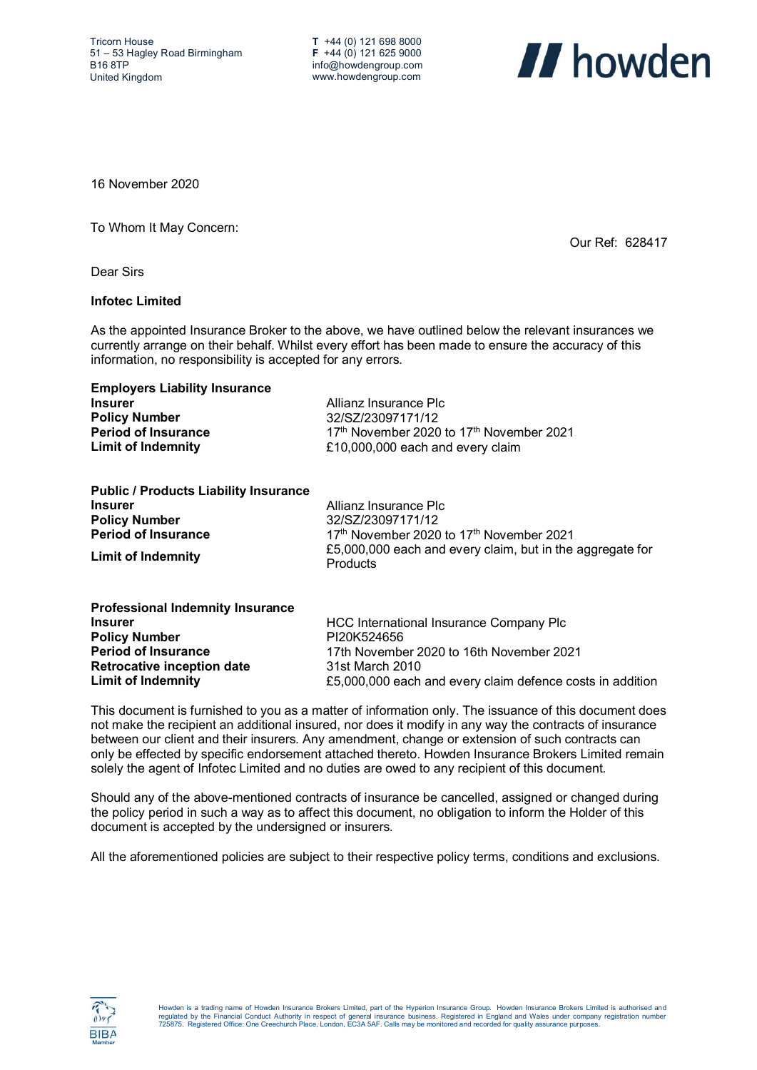**T** +44 (0) 121 698 8000 **F** +44 (0) 121 625 9000 info@howdengroup.com www.howdengroup.com



Our Ref: 628417

16 November 2020

To Whom It May Concern:

Dear Sirs

## **Infotec Limited**

As the appointed Insurance Broker to the above, we have outlined below the relevant insurances we currently arrange on their behalf. Whilst every effort has been made to ensure the accuracy of this information, no responsibility is accepted for any errors.

| <b>Employers Liability Insurance</b> |                                                                  |
|--------------------------------------|------------------------------------------------------------------|
| <b>Insurer</b>                       | Allianz Insurance PIc                                            |
| <b>Policy Number</b>                 | 32/SZ/23097171/12                                                |
| <b>Period of Insurance</b>           | 17 <sup>th</sup> November 2020 to 17 <sup>th</sup> November 2021 |
| Limit of Indemnity                   | £10,000,000 each and every claim                                 |
|                                      |                                                                  |

| Allianz Insurance PIc                                                        |
|------------------------------------------------------------------------------|
| 32/SZ/23097171/12                                                            |
| 17th November 2020 to 17th November 2021                                     |
| £5,000,000 each and every claim, but in the aggregate for<br><b>Products</b> |
|                                                                              |

| HCC International Insurance Company Plc                   |
|-----------------------------------------------------------|
| PI20K524656                                               |
| 17th November 2020 to 16th November 2021                  |
| 31st March 2010                                           |
| £5,000,000 each and every claim defence costs in addition |
|                                                           |

This document is furnished to you as a matter of information only. The issuance of this document does not make the recipient an additional insured, nor does it modify in any way the contracts of insurance between our client and their insurers. Any amendment, change or extension of such contracts can only be effected by specific endorsement attached thereto. Howden Insurance Brokers Limited remain solely the agent of Infotec Limited and no duties are owed to any recipient of this document.

Should any of the above-mentioned contracts of insurance be cancelled, assigned or changed during the policy period in such a way as to affect this document, no obligation to inform the Holder of this document is accepted by the undersigned or insurers.

All the aforementioned policies are subject to their respective policy terms, conditions and exclusions.